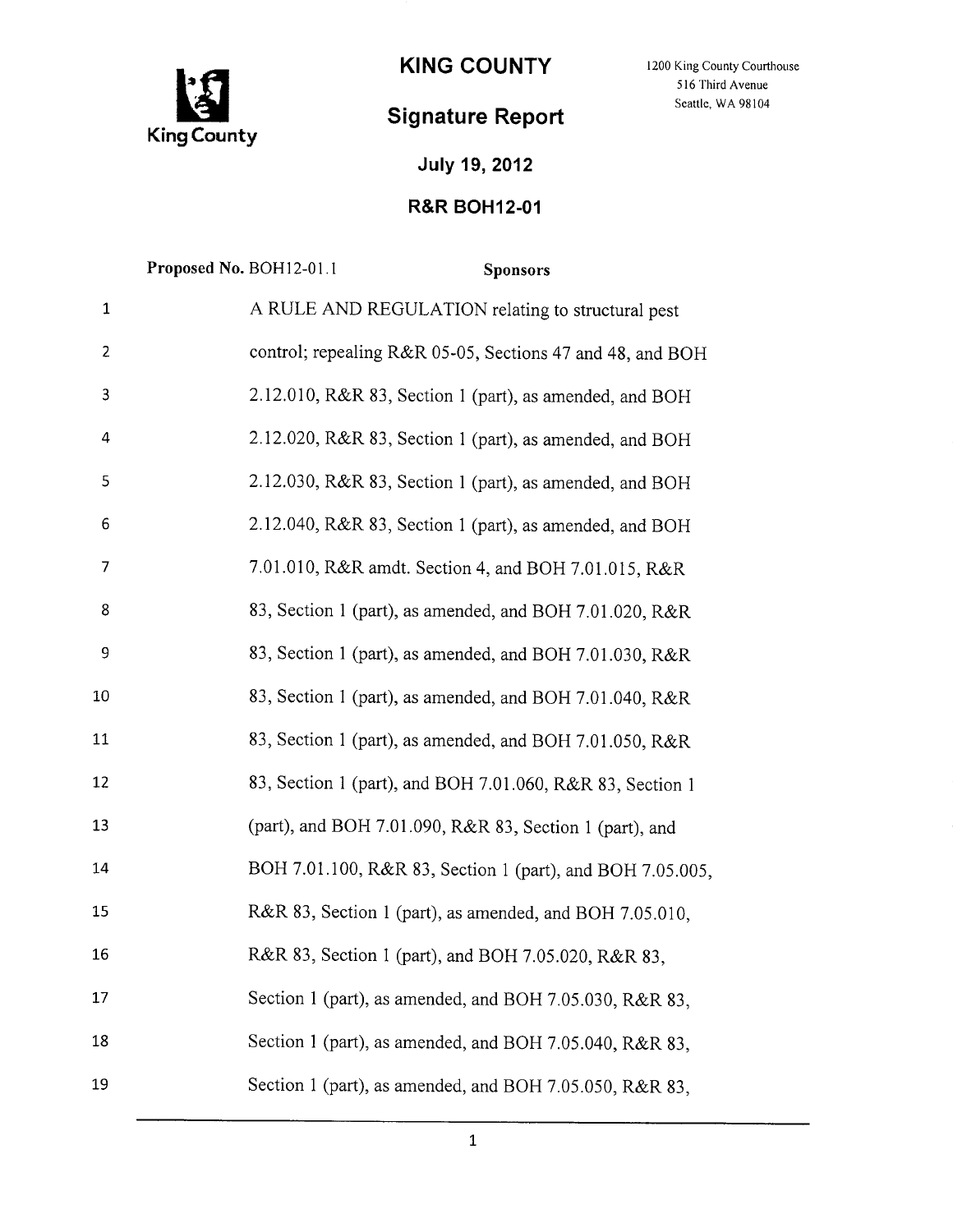

## **Signature Report**

KING COUNTY 1200 King County Courthouse 516 Third Avenue Seattle, WA 98104

## **July 19, 2012**

## **R&R BOHI2-01**

|              | Proposed No. BOH12-01.1 | <b>Sponsors</b>                                           |
|--------------|-------------------------|-----------------------------------------------------------|
| $\mathbf{1}$ |                         | A RULE AND REGULATION relating to structural pest         |
| 2            |                         | control; repealing R&R 05-05, Sections 47 and 48, and BOH |
| 3            |                         | 2.12.010, R&R 83, Section 1 (part), as amended, and BOH   |
| 4            |                         | 2.12.020, R&R 83, Section 1 (part), as amended, and BOH   |
| 5            |                         | 2.12.030, R&R 83, Section 1 (part), as amended, and BOH   |
| 6            |                         | 2.12.040, R&R 83, Section 1 (part), as amended, and BOH   |
| 7            |                         | 7.01.010, R&R amdt. Section 4, and BOH 7.01.015, R&R      |
| 8            |                         | 83, Section 1 (part), as amended, and BOH 7.01.020, R&R   |
| 9            |                         | 83, Section 1 (part), as amended, and BOH 7.01.030, R&R   |
| 10           |                         | 83, Section 1 (part), as amended, and BOH 7.01.040, R&R   |
| 11           |                         | 83, Section 1 (part), as amended, and BOH 7.01.050, R&R   |
| 12           |                         | 83, Section 1 (part), and BOH 7.01.060, R&R 83, Section 1 |
| 13           |                         | (part), and BOH 7.01.090, R&R 83, Section 1 (part), and   |
| 14           |                         | BOH 7.01.100, R&R 83, Section 1 (part), and BOH 7.05.005, |
| 15           |                         | R&R 83, Section 1 (part), as amended, and BOH 7.05.010,   |
| 16           |                         | R&R 83, Section 1 (part), and BOH 7.05.020, R&R 83,       |
| 17           |                         | Section 1 (part), as amended, and BOH 7.05.030, R&R 83,   |
| 18           |                         | Section 1 (part), as amended, and BOH 7.05.040, R&R 83,   |
| 19           |                         | Section 1 (part), as amended, and BOH 7.05.050, R&R 83,   |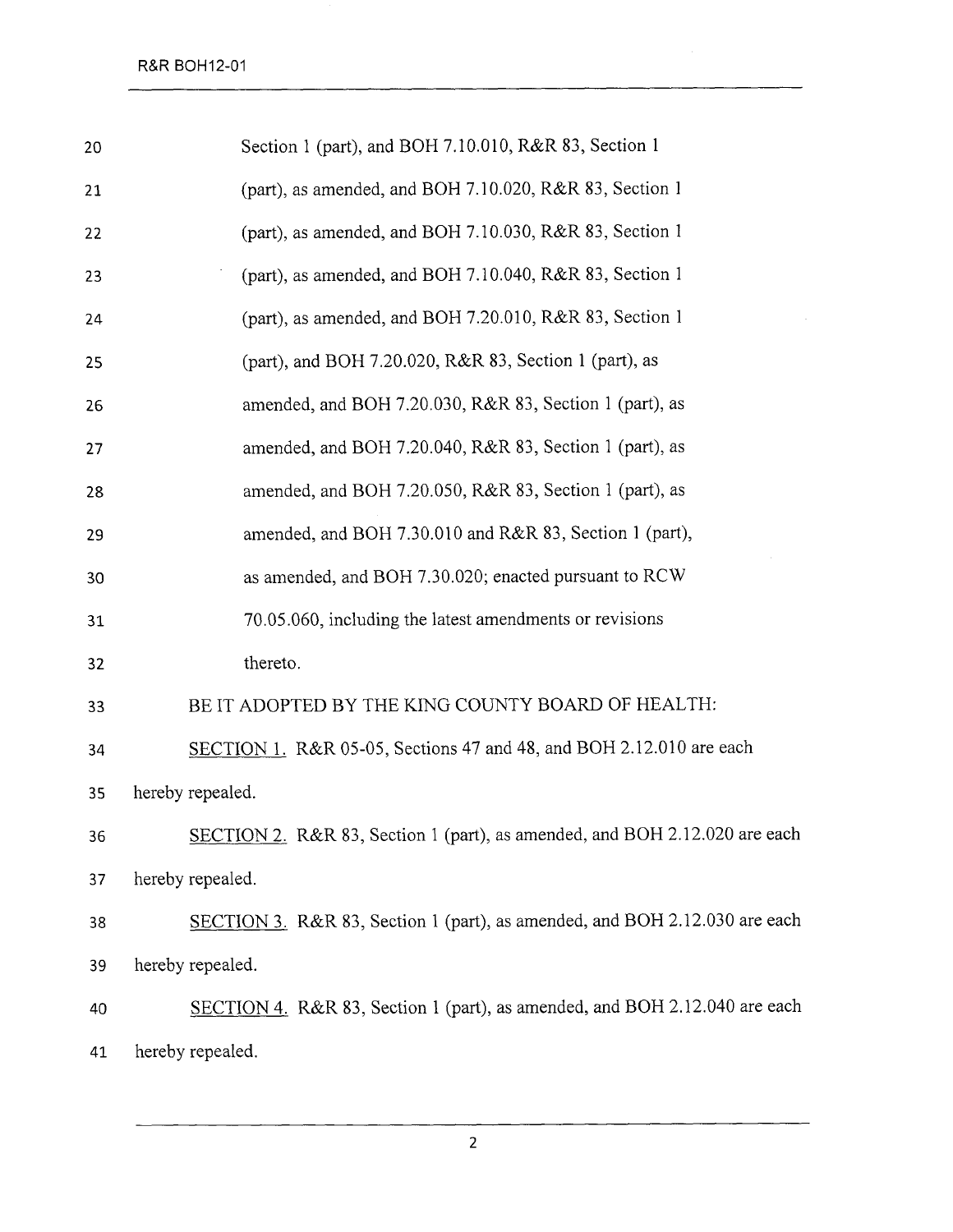| 20 | Section 1 (part), and BOH 7.10.010, R&R 83, Section 1                      |
|----|----------------------------------------------------------------------------|
| 21 | (part), as amended, and BOH 7.10.020, R&R 83, Section 1                    |
| 22 | (part), as amended, and BOH 7.10.030, R&R 83, Section 1                    |
| 23 | (part), as amended, and BOH 7.10.040, R&R 83, Section 1                    |
| 24 | (part), as amended, and BOH 7.20.010, R&R 83, Section 1                    |
| 25 | (part), and BOH 7.20.020, R&R 83, Section 1 (part), as                     |
| 26 | amended, and BOH 7.20.030, R&R 83, Section 1 (part), as                    |
| 27 | amended, and BOH 7.20.040, R&R 83, Section 1 (part), as                    |
| 28 | amended, and BOH 7.20.050, R&R 83, Section 1 (part), as                    |
| 29 | amended, and BOH 7.30.010 and R&R 83, Section 1 (part),                    |
| 30 | as amended, and BOH 7.30.020; enacted pursuant to RCW                      |
| 31 | 70.05.060, including the latest amendments or revisions                    |
| 32 | thereto.                                                                   |
| 33 | BE IT ADOPTED BY THE KING COUNTY BOARD OF HEALTH:                          |
| 34 | SECTION 1. R&R 05-05, Sections 47 and 48, and BOH 2.12.010 are each        |
| 35 | hereby repealed.                                                           |
| 36 | SECTION 2. R&R 83, Section 1 (part), as amended, and BOH 2.12.020 are each |
| 37 | hereby repealed.                                                           |
| 38 | SECTION 3. R&R 83, Section 1 (part), as amended, and BOH 2.12.030 are each |
| 39 | hereby repealed.                                                           |
| 40 | SECTION 4. R&R 83, Section 1 (part), as amended, and BOH 2.12.040 are each |
| 41 | hereby repealed.                                                           |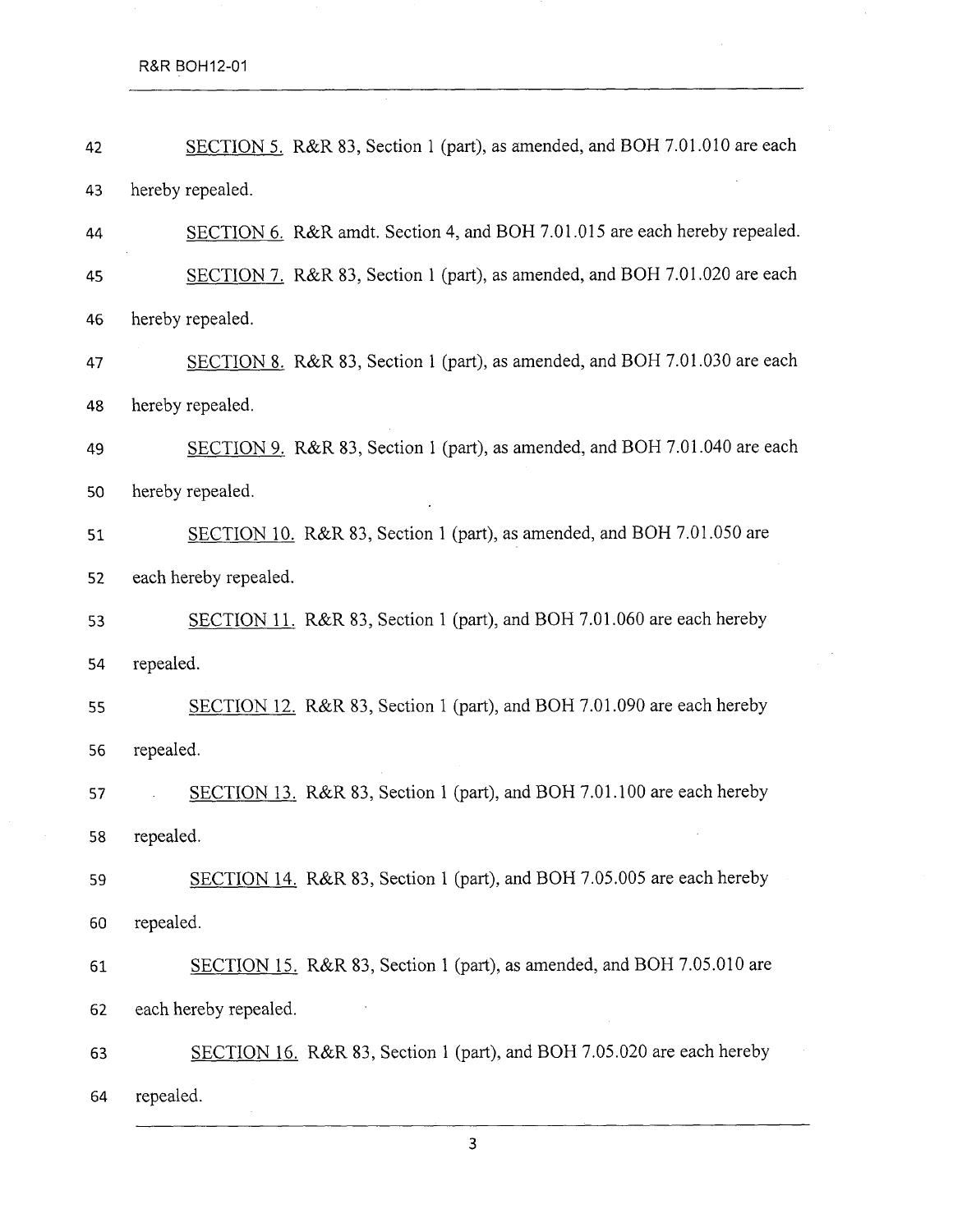$\mathcal{L}^{\pm}$ 

| 42 | SECTION 5. R&R 83, Section 1 (part), as amended, and BOH 7.01.010 are each |  |
|----|----------------------------------------------------------------------------|--|
| 43 | hereby repealed.                                                           |  |
| 44 | SECTION 6. R&R amdt. Section 4, and BOH 7.01.015 are each hereby repealed. |  |
| 45 | SECTION 7. R&R 83, Section 1 (part), as amended, and BOH 7.01.020 are each |  |
| 46 | hereby repealed.                                                           |  |
| 47 | SECTION 8. R&R 83, Section 1 (part), as amended, and BOH 7.01.030 are each |  |
| 48 | hereby repealed.                                                           |  |
| 49 | SECTION 9. R&R 83, Section 1 (part), as amended, and BOH 7.01.040 are each |  |
| 50 | hereby repealed.                                                           |  |
| 51 | SECTION 10. R&R 83, Section 1 (part), as amended, and BOH 7.01.050 are     |  |
| 52 | each hereby repealed.                                                      |  |
| 53 | SECTION 11. R&R 83, Section 1 (part), and BOH 7.01.060 are each hereby     |  |
| 54 | repealed.                                                                  |  |
| 55 | SECTION 12. R&R 83, Section 1 (part), and BOH 7.01.090 are each hereby     |  |
| 56 | repealed.                                                                  |  |
| 57 | SECTION 13. R&R 83, Section 1 (part), and BOH 7.01.100 are each hereby     |  |
| 58 | repealed.                                                                  |  |
| 59 | SECTION 14. R&R 83, Section 1 (part), and BOH 7.05.005 are each hereby     |  |
| 60 | repealed.                                                                  |  |
| 61 | SECTION 15. R&R 83, Section 1 (part), as amended, and BOH 7.05.010 are     |  |
| 62 | each hereby repealed.                                                      |  |
| 63 | SECTION 16. R&R 83, Section 1 (part), and BOH 7.05.020 are each hereby     |  |
| 64 | repealed.                                                                  |  |

l,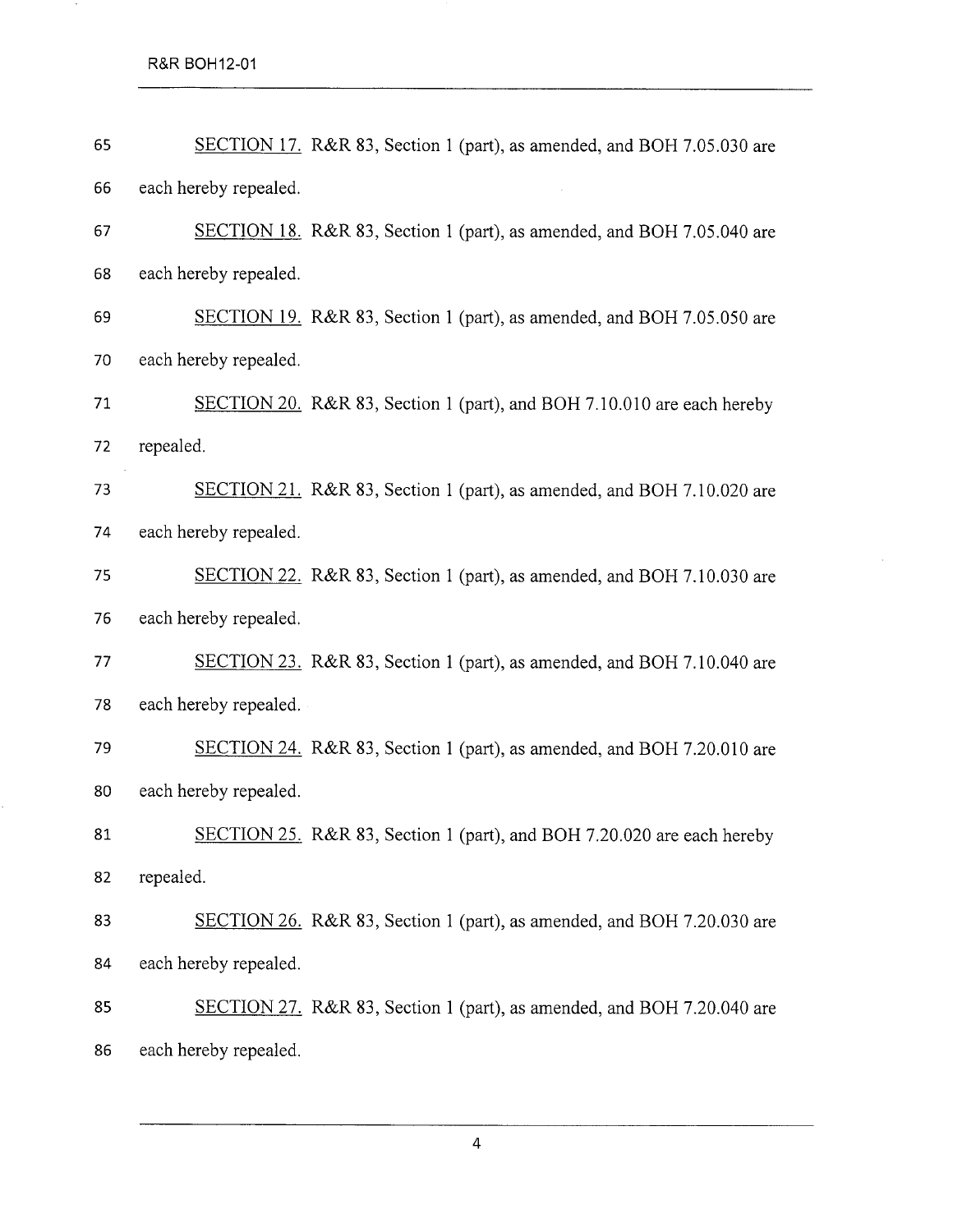R&R BOH12-01

 $\mathcal{F}^{\mathcal{F}}$ 

| 65 | SECTION 17. R&R 83, Section 1 (part), as amended, and BOH 7.05.030 are |
|----|------------------------------------------------------------------------|
| 66 | each hereby repealed.                                                  |
| 67 | SECTION 18. R&R 83, Section 1 (part), as amended, and BOH 7.05.040 are |
| 68 | each hereby repealed.                                                  |
| 69 | SECTION 19. R&R 83, Section 1 (part), as amended, and BOH 7.05.050 are |
| 70 | each hereby repealed.                                                  |
| 71 | SECTION 20. R&R 83, Section 1 (part), and BOH 7.10.010 are each hereby |
| 72 | repealed.                                                              |
| 73 | SECTION 21. R&R 83, Section 1 (part), as amended, and BOH 7.10.020 are |
| 74 | each hereby repealed.                                                  |
| 75 | SECTION 22. R&R 83, Section 1 (part), as amended, and BOH 7.10.030 are |
| 76 | each hereby repealed.                                                  |
| 77 | SECTION 23. R&R 83, Section 1 (part), as amended, and BOH 7.10.040 are |
| 78 | each hereby repealed.                                                  |
| 79 | SECTION 24. R&R 83, Section 1 (part), as amended, and BOH 7.20.010 are |
| 80 | each hereby repealed.                                                  |
| 81 | SECTION 25. R&R 83, Section 1 (part), and BOH 7.20.020 are each hereby |
| 82 | repealed.                                                              |
| 83 | SECTION 26. R&R 83, Section 1 (part), as amended, and BOH 7.20.030 are |
| 84 | each hereby repealed.                                                  |
| 85 | SECTION 27. R&R 83, Section 1 (part), as amended, and BOH 7.20.040 are |
| 86 | each hereby repealed.                                                  |